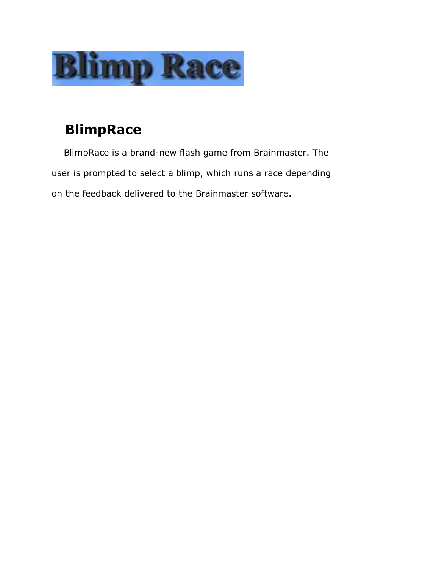

# **BlimpRace**

BlimpRace is a brand-new flash game from Brainmaster. The user is prompted to select a blimp, which runs a race depending on the feedback delivered to the Brainmaster software.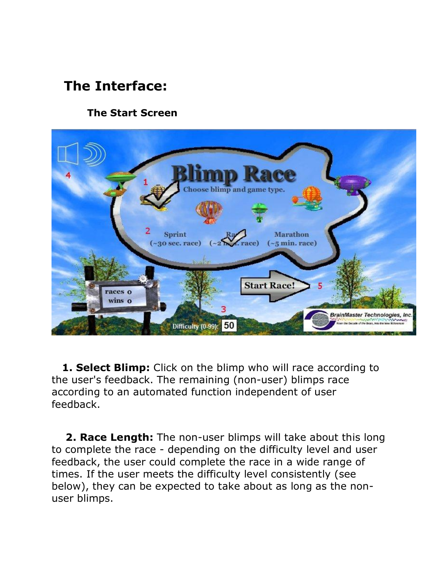# **The Interface:**

### **The Start Screen**



**1. Select Blimp:** Click on the blimp who will race according to the user's feedback. The remaining (non-user) blimps race according to an automated function independent of user feedback.

**2. Race Length:** The non-user blimps will take about this long to complete the race - depending on the difficulty level and user feedback, the user could complete the race in a wide range of times. If the user meets the difficulty level consistently (see below), they can be expected to take about as long as the non user blimps.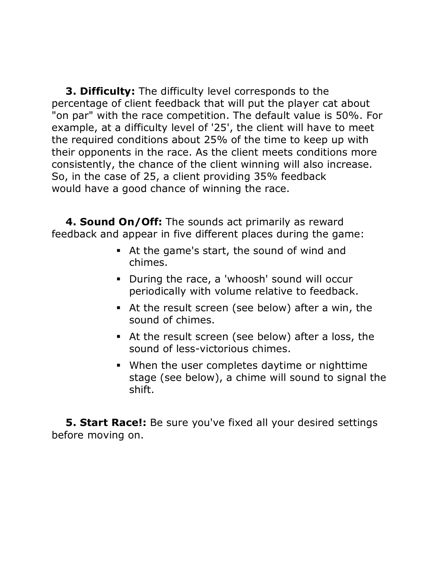**3. Difficulty:** The difficulty level corresponds to the percentage of client feedback that will put the player cat about "on par" with the race competition. The default value is 50%. For example, at a difficulty level of '25', the client will have to meet the required conditions about 25% of the time to keep up with their opponents in the race. As the client meets conditions more consistently, the chance of the client winning will also increase. So, in the case of 25, a client providing 35% feedback would have a good chance of winning the race.

**4. Sound On/Off:** The sounds act primarily as reward feedback and appear in five different places during the game:

- ß At the game's start, the sound of wind and chimes.
- During the race, a 'whoosh' sound will occur periodically with volume relative to feedback.
- At the result screen (see below) after a win, the sound of chimes.
- At the result screen (see below) after a loss, the sound of less-victorious chimes.
- When the user completes daytime or nighttime stage (see below), a chime will sound to signal the shift.

**5. Start Race!:** Be sure you've fixed all your desired settings before moving on.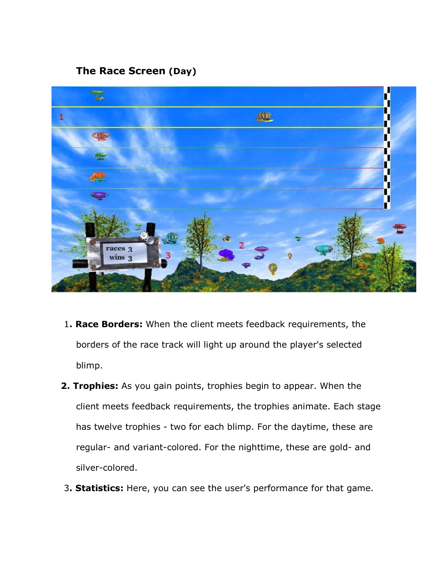#### **The Race Screen (Day)**



- 1**. Race Borders:** When the client meets feedback requirements, the borders of the race track will light up around the player's selected blimp.
- **2. Trophies:** As you gain points, trophies begin to appear. When the client meets feedback requirements, the trophies animate. Each stage has twelve trophies - two for each blimp. For the daytime, these are regular- and variant-colored. For the nighttime, these are gold- and silver-colored.
- 3**. Statistics:** Here, you can see the user's performance for that game.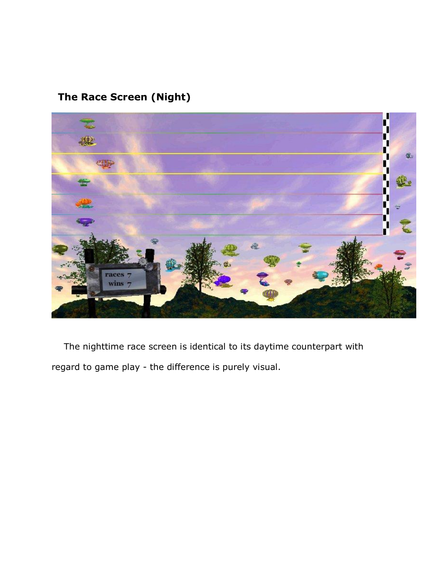## **The Race Screen (Night)**



The nighttime race screen is identical to its daytime counterpart with regard to game play - the difference is purely visual.